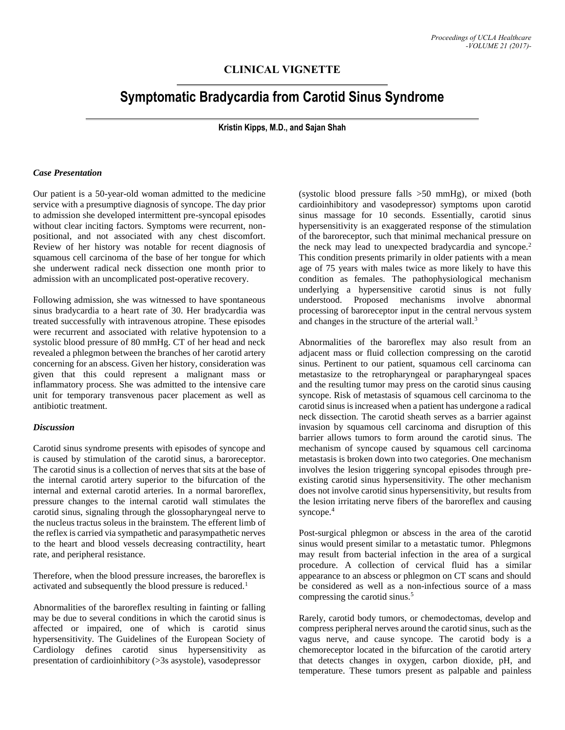## **CLINICAL VIGNETTE**

# **Symptomatic Bradycardia from Carotid Sinus Syndrome**

**Kristin Kipps, M.D., and Sajan Shah**

#### *Case Presentation*

Our patient is a 50-year-old woman admitted to the medicine service with a presumptive diagnosis of syncope. The day prior to admission she developed intermittent pre-syncopal episodes without clear inciting factors. Symptoms were recurrent, nonpositional, and not associated with any chest discomfort. Review of her history was notable for recent diagnosis of squamous cell carcinoma of the base of her tongue for which she underwent radical neck dissection one month prior to admission with an uncomplicated post-operative recovery.

Following admission, she was witnessed to have spontaneous sinus bradycardia to a heart rate of 30. Her bradycardia was treated successfully with intravenous atropine. These episodes were recurrent and associated with relative hypotension to a systolic blood pressure of 80 mmHg. CT of her head and neck revealed a phlegmon between the branches of her carotid artery concerning for an abscess. Given her history, consideration was given that this could represent a malignant mass or inflammatory process. She was admitted to the intensive care unit for temporary transvenous pacer placement as well as antibiotic treatment.

#### *Discussion*

Carotid sinus syndrome presents with episodes of syncope and is caused by stimulation of the carotid sinus, a baroreceptor. The carotid sinus is a collection of nerves that sits at the base of the internal carotid artery superior to the bifurcation of the internal and external carotid arteries. In a normal baroreflex, pressure changes to the internal carotid wall stimulates the carotid sinus, signaling through the glossopharyngeal nerve to the nucleus tractus soleus in the brainstem. The efferent limb of the reflex is carried via sympathetic and parasympathetic nerves to the heart and blood vessels decreasing contractility, heart rate, and peripheral resistance.

Therefore, when the blood pressure increases, the baroreflex is activated and subsequently the blood pressure is reduced.<sup>1</sup>

Abnormalities of the baroreflex resulting in fainting or falling may be due to several conditions in which the carotid sinus is affected or impaired, one of which is carotid sinus hypersensitivity. The Guidelines of the European Society of Cardiology defines carotid sinus hypersensitivity as presentation of cardioinhibitory (>3s asystole), vasodepressor

(systolic blood pressure falls >50 mmHg), or mixed (both cardioinhibitory and vasodepressor) symptoms upon carotid sinus massage for 10 seconds. Essentially, carotid sinus hypersensitivity is an exaggerated response of the stimulation of the baroreceptor, such that minimal mechanical pressure on the neck may lead to unexpected bradycardia and syncope.<sup>2</sup> This condition presents primarily in older patients with a mean age of 75 years with males twice as more likely to have this condition as females. The pathophysiological mechanism underlying a hypersensitive carotid sinus is not fully understood. Proposed mechanisms involve abnormal processing of baroreceptor input in the central nervous system and changes in the structure of the arterial wall.<sup>3</sup>

Abnormalities of the baroreflex may also result from an adjacent mass or fluid collection compressing on the carotid sinus. Pertinent to our patient, squamous cell carcinoma can metastasize to the retropharyngeal or parapharyngeal spaces and the resulting tumor may press on the carotid sinus causing syncope. Risk of metastasis of squamous cell carcinoma to the carotid sinus is increased when a patient has undergone a radical neck dissection. The carotid sheath serves as a barrier against invasion by squamous cell carcinoma and disruption of this barrier allows tumors to form around the carotid sinus. The mechanism of syncope caused by squamous cell carcinoma metastasis is broken down into two categories. One mechanism involves the lesion triggering syncopal episodes through preexisting carotid sinus hypersensitivity. The other mechanism does not involve carotid sinus hypersensitivity, but results from the lesion irritating nerve fibers of the baroreflex and causing syncope.<sup>4</sup>

Post-surgical phlegmon or abscess in the area of the carotid sinus would present similar to a metastatic tumor. Phlegmons may result from bacterial infection in the area of a surgical procedure. A collection of cervical fluid has a similar appearance to an abscess or phlegmon on CT scans and should be considered as well as a non-infectious source of a mass compressing the carotid sinus.<sup>5</sup>

Rarely, carotid body tumors, or chemodectomas, develop and compress peripheral nerves around the carotid sinus, such as the vagus nerve, and cause syncope. The carotid body is a chemoreceptor located in the bifurcation of the carotid artery that detects changes in oxygen, carbon dioxide, pH, and temperature. These tumors present as palpable and painless